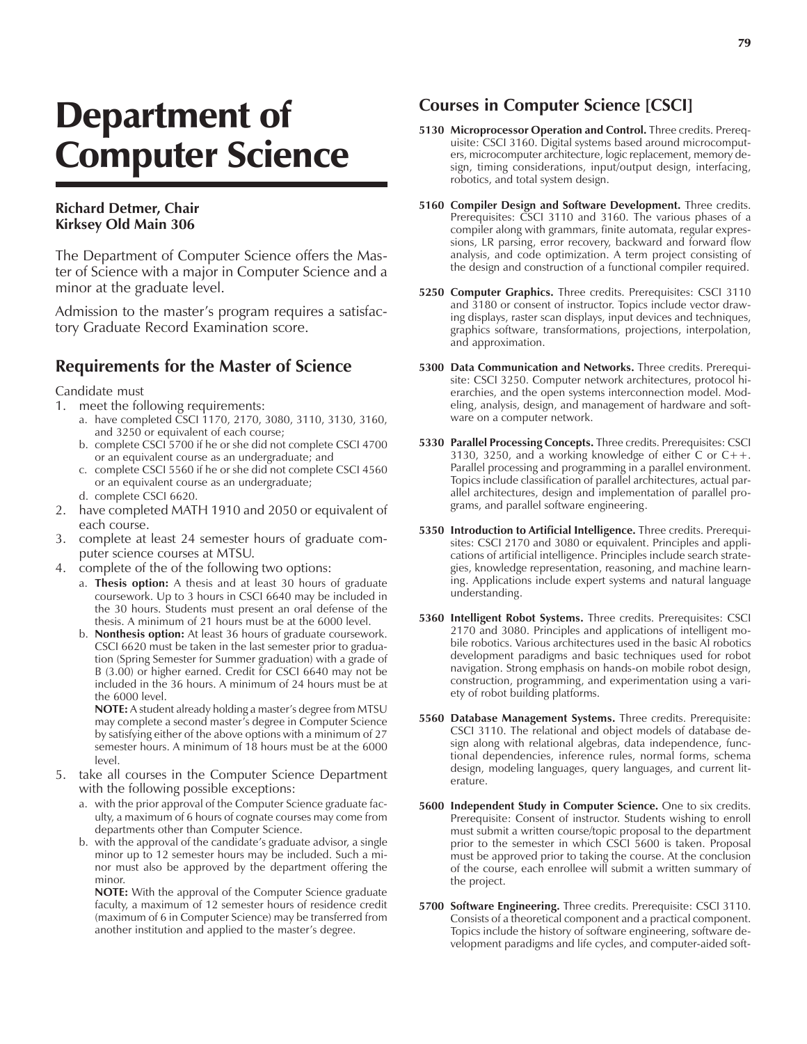## Department of Computer Science

## **Richard Detmer, Chair Kirksey Old Main 306**

The Department of Computer Science offers the Master of Science with a major in Computer Science and a minor at the graduate level.

Admission to the master's program requires a satisfactory Graduate Record Examination score.

## **Requirements for the Master of Science**

Candidate must

- 1. meet the following requirements:
	- a. have completed CSCI 1170, 2170, 3080, 3110, 3130, 3160, and 3250 or equivalent of each course;
	- b. complete CSCI 5700 if he or she did not complete CSCI 4700 or an equivalent course as an undergraduate; and
	- c. complete CSCI 5560 if he or she did not complete CSCI 4560 or an equivalent course as an undergraduate;
	- d. complete CSCI 6620.
- 2. have completed MATH 1910 and 2050 or equivalent of each course.
- 3. complete at least 24 semester hours of graduate computer science courses at MTSU.
- 4. complete of the of the following two options:
	- a. **Thesis option:** A thesis and at least 30 hours of graduate coursework. Up to 3 hours in CSCI 6640 may be included in the 30 hours. Students must present an oral defense of the thesis. A minimum of 21 hours must be at the 6000 level.
	- b. **Nonthesis option:** At least 36 hours of graduate coursework. CSCI 6620 must be taken in the last semester prior to graduation (Spring Semester for Summer graduation) with a grade of B (3.00) or higher earned. Credit for CSCI 6640 may not be included in the 36 hours. A minimum of 24 hours must be at the 6000 level.

**NOTE:** A student already holding a master's degree from MTSU may complete a second master's degree in Computer Science by satisfying either of the above options with a minimum of 27 semester hours. A minimum of 18 hours must be at the 6000 level.

- 5. take all courses in the Computer Science Department with the following possible exceptions:
	- a. with the prior approval of the Computer Science graduate faculty, a maximum of 6 hours of cognate courses may come from departments other than Computer Science.
	- b. with the approval of the candidate's graduate advisor, a single minor up to 12 semester hours may be included. Such a minor must also be approved by the department offering the minor.

**NOTE:** With the approval of the Computer Science graduate faculty, a maximum of 12 semester hours of residence credit (maximum of 6 in Computer Science) may be transferred from another institution and applied to the master's degree.

## **Courses in Computer Science [CSCI]**

- **5130 Microprocessor Operation and Control.** Three credits. Prerequisite: CSCI 3160. Digital systems based around microcomputers, microcomputer architecture, logic replacement, memory design, timing considerations, input/output design, interfacing, robotics, and total system design.
- **5160 Compiler Design and Software Development.** Three credits. Prerequisites: CSCI 3110 and 3160. The various phases of a compiler along with grammars, finite automata, regular expressions, LR parsing, error recovery, backward and forward flow analysis, and code optimization. A term project consisting of the design and construction of a functional compiler required.
- **5250 Computer Graphics.** Three credits. Prerequisites: CSCI 3110 and 3180 or consent of instructor. Topics include vector drawing displays, raster scan displays, input devices and techniques, graphics software, transformations, projections, interpolation, and approximation.
- **5300 Data Communication and Networks.** Three credits. Prerequisite: CSCI 3250. Computer network architectures, protocol hierarchies, and the open systems interconnection model. Modeling, analysis, design, and management of hardware and software on a computer network.
- **5330 Parallel Processing Concepts.** Three credits. Prerequisites: CSCI 3130, 3250, and a working knowledge of either C or  $C_{++}$ . Parallel processing and programming in a parallel environment. Topics include classification of parallel architectures, actual parallel architectures, design and implementation of parallel programs, and parallel software engineering.
- **5350 Introduction to Artificial Intelligence.** Three credits. Prerequisites: CSCI 2170 and 3080 or equivalent. Principles and applications of artificial intelligence. Principles include search strategies, knowledge representation, reasoning, and machine learning. Applications include expert systems and natural language understanding.
- **5360 Intelligent Robot Systems.** Three credits. Prerequisites: CSCI 2170 and 3080. Principles and applications of intelligent mobile robotics. Various architectures used in the basic AI robotics development paradigms and basic techniques used for robot navigation. Strong emphasis on hands-on mobile robot design, construction, programming, and experimentation using a variety of robot building platforms.
- **5560 Database Management Systems.** Three credits. Prerequisite: CSCI 3110. The relational and object models of database design along with relational algebras, data independence, functional dependencies, inference rules, normal forms, schema design, modeling languages, query languages, and current literature.
- **5600 Independent Study in Computer Science.** One to six credits. Prerequisite: Consent of instructor. Students wishing to enroll must submit a written course/topic proposal to the department prior to the semester in which CSCI 5600 is taken. Proposal must be approved prior to taking the course. At the conclusion of the course, each enrollee will submit a written summary of the project.
- **5700 Software Engineering.** Three credits. Prerequisite: CSCI 3110. Consists of a theoretical component and a practical component. Topics include the history of software engineering, software development paradigms and life cycles, and computer-aided soft-